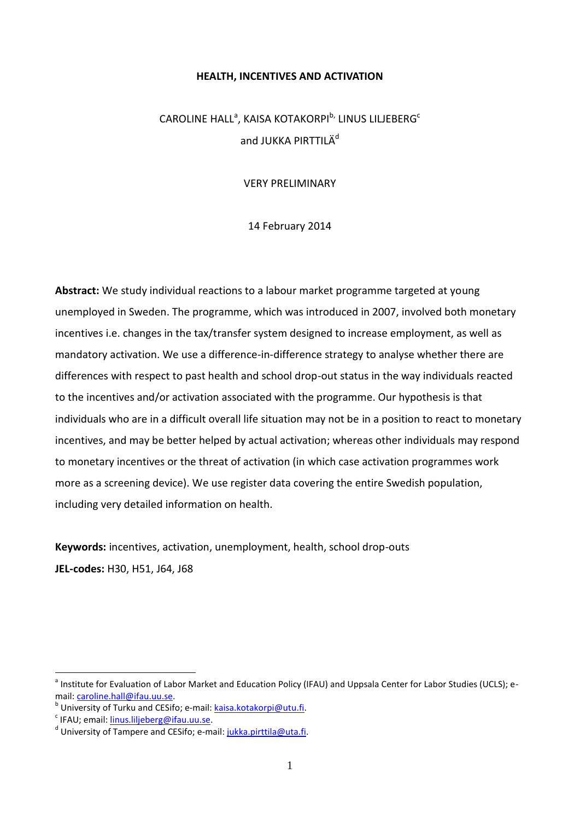#### **HEALTH, INCENTIVES AND ACTIVATION**

# $\mathsf{CAROLINE}\ \mathsf{HALL}^{\mathsf{a}},\ \mathsf{KAISA}\ \mathsf{KOTAKORPI}^{\mathsf{b},}\ \mathsf{LINUS}\ \mathsf{LILEBERG}^{\mathsf{c}}$ and JUKKA PIRTTILÄ<sup>d</sup>

VERY PRELIMINARY

14 February 2014

**Abstract:** We study individual reactions to a labour market programme targeted at young unemployed in Sweden. The programme, which was introduced in 2007, involved both monetary incentives i.e. changes in the tax/transfer system designed to increase employment, as well as mandatory activation. We use a difference-in-difference strategy to analyse whether there are differences with respect to past health and school drop-out status in the way individuals reacted to the incentives and/or activation associated with the programme. Our hypothesis is that individuals who are in a difficult overall life situation may not be in a position to react to monetary incentives, and may be better helped by actual activation; whereas other individuals may respond to monetary incentives or the threat of activation (in which case activation programmes work more as a screening device). We use register data covering the entire Swedish population, including very detailed information on health.

**Keywords:** incentives, activation, unemployment, health, school drop-outs **JEL-codes:** H30, H51, J64, J68

1

<sup>&</sup>lt;sup>a</sup> Institute for Evaluation of Labor Market and Education Policy (IFAU) and Uppsala Center for Labor Studies (UCLS); email: [caroline.hall@ifau.uu.se.](mailto:caroline.hall@ifau.uu.se)

<sup>&</sup>lt;sup>b</sup> University of Turku and CESifo; e-mail: <u>kaisa.kotakorpi@utu.fi</u>.

<sup>&</sup>lt;sup>c</sup> IFAU; email: <u>linus.liljeberg@ifau.uu.se</u>.

<sup>&</sup>lt;sup>d</sup> University of Tampere and CESifo; e-mail: jukka.pirttila@uta.fi.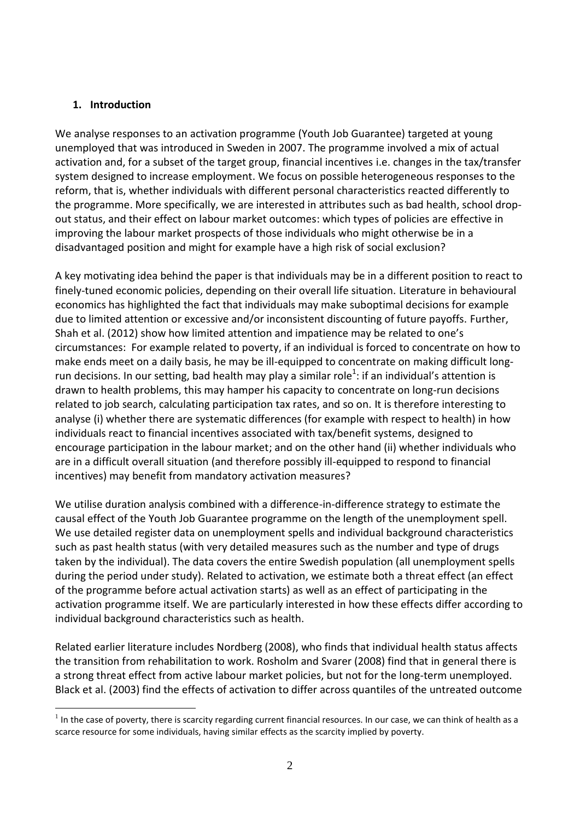### **1. Introduction**

1

We analyse responses to an activation programme (Youth Job Guarantee) targeted at young unemployed that was introduced in Sweden in 2007. The programme involved a mix of actual activation and, for a subset of the target group, financial incentives i.e. changes in the tax/transfer system designed to increase employment. We focus on possible heterogeneous responses to the reform, that is, whether individuals with different personal characteristics reacted differently to the programme. More specifically, we are interested in attributes such as bad health, school dropout status, and their effect on labour market outcomes: which types of policies are effective in improving the labour market prospects of those individuals who might otherwise be in a disadvantaged position and might for example have a high risk of social exclusion?

A key motivating idea behind the paper is that individuals may be in a different position to react to finely-tuned economic policies, depending on their overall life situation. Literature in behavioural economics has highlighted the fact that individuals may make suboptimal decisions for example due to limited attention or excessive and/or inconsistent discounting of future payoffs. Further, Shah et al. (2012) show how limited attention and impatience may be related to one's circumstances: For example related to poverty, if an individual is forced to concentrate on how to make ends meet on a daily basis, he may be ill-equipped to concentrate on making difficult longrun decisions. In our setting, bad health may play a similar role<sup>1</sup>: if an individual's attention is drawn to health problems, this may hamper his capacity to concentrate on long-run decisions related to job search, calculating participation tax rates, and so on. It is therefore interesting to analyse (i) whether there are systematic differences (for example with respect to health) in how individuals react to financial incentives associated with tax/benefit systems, designed to encourage participation in the labour market; and on the other hand (ii) whether individuals who are in a difficult overall situation (and therefore possibly ill-equipped to respond to financial incentives) may benefit from mandatory activation measures?

We utilise duration analysis combined with a difference-in-difference strategy to estimate the causal effect of the Youth Job Guarantee programme on the length of the unemployment spell. We use detailed register data on unemployment spells and individual background characteristics such as past health status (with very detailed measures such as the number and type of drugs taken by the individual). The data covers the entire Swedish population (all unemployment spells during the period under study). Related to activation, we estimate both a threat effect (an effect of the programme before actual activation starts) as well as an effect of participating in the activation programme itself. We are particularly interested in how these effects differ according to individual background characteristics such as health.

Related earlier literature includes Nordberg (2008), who finds that individual health status affects the transition from rehabilitation to work. Rosholm and Svarer (2008) find that in general there is a strong threat effect from active labour market policies, but not for the long-term unemployed. Black et al. (2003) find the effects of activation to differ across quantiles of the untreated outcome

 $1$  In the case of poverty, there is scarcity regarding current financial resources. In our case, we can think of health as a scarce resource for some individuals, having similar effects as the scarcity implied by poverty.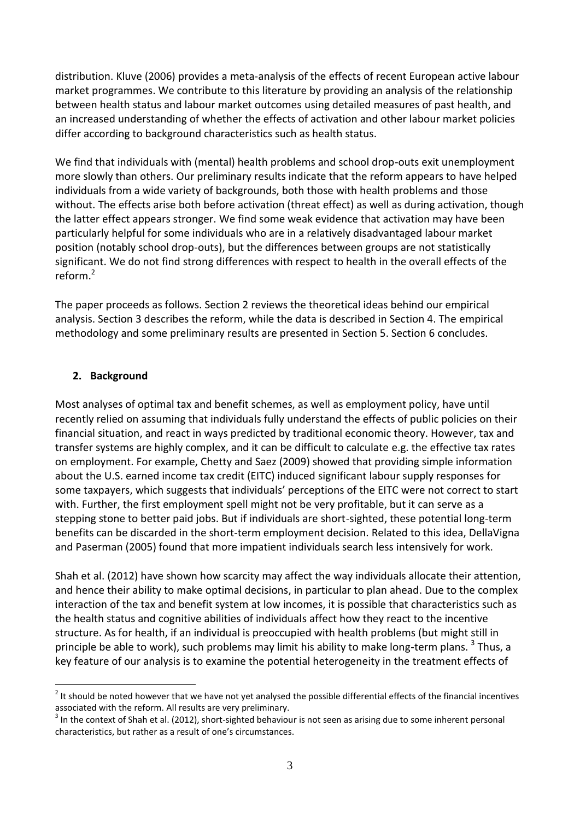distribution. Kluve (2006) provides a meta-analysis of the effects of recent European active labour market programmes. We contribute to this literature by providing an analysis of the relationship between health status and labour market outcomes using detailed measures of past health, and an increased understanding of whether the effects of activation and other labour market policies differ according to background characteristics such as health status.

We find that individuals with (mental) health problems and school drop-outs exit unemployment more slowly than others. Our preliminary results indicate that the reform appears to have helped individuals from a wide variety of backgrounds, both those with health problems and those without. The effects arise both before activation (threat effect) as well as during activation, though the latter effect appears stronger. We find some weak evidence that activation may have been particularly helpful for some individuals who are in a relatively disadvantaged labour market position (notably school drop-outs), but the differences between groups are not statistically significant. We do not find strong differences with respect to health in the overall effects of the reform. 2

The paper proceeds as follows. Section 2 reviews the theoretical ideas behind our empirical analysis. Section 3 describes the reform, while the data is described in Section 4. The empirical methodology and some preliminary results are presented in Section 5. Section 6 concludes.

### **2. Background**

1

Most analyses of optimal tax and benefit schemes, as well as employment policy, have until recently relied on assuming that individuals fully understand the effects of public policies on their financial situation, and react in ways predicted by traditional economic theory. However, tax and transfer systems are highly complex, and it can be difficult to calculate e.g. the effective tax rates on employment. For example, Chetty and Saez (2009) showed that providing simple information about the U.S. earned income tax credit (EITC) induced significant labour supply responses for some taxpayers, which suggests that individuals' perceptions of the EITC were not correct to start with. Further, the first employment spell might not be very profitable, but it can serve as a stepping stone to better paid jobs. But if individuals are short-sighted, these potential long-term benefits can be discarded in the short-term employment decision. Related to this idea, DellaVigna and Paserman (2005) found that more impatient individuals search less intensively for work.

Shah et al. (2012) have shown how scarcity may affect the way individuals allocate their attention, and hence their ability to make optimal decisions, in particular to plan ahead. Due to the complex interaction of the tax and benefit system at low incomes, it is possible that characteristics such as the health status and cognitive abilities of individuals affect how they react to the incentive structure. As for health, if an individual is preoccupied with health problems (but might still in principle be able to work), such problems may limit his ability to make long-term plans. <sup>3</sup> Thus, a key feature of our analysis is to examine the potential heterogeneity in the treatment effects of

 $2$  It should be noted however that we have not yet analysed the possible differential effects of the financial incentives associated with the reform. All results are very preliminary.

 $3$  In the context of Shah et al. (2012), short-sighted behaviour is not seen as arising due to some inherent personal characteristics, but rather as a result of one's circumstances.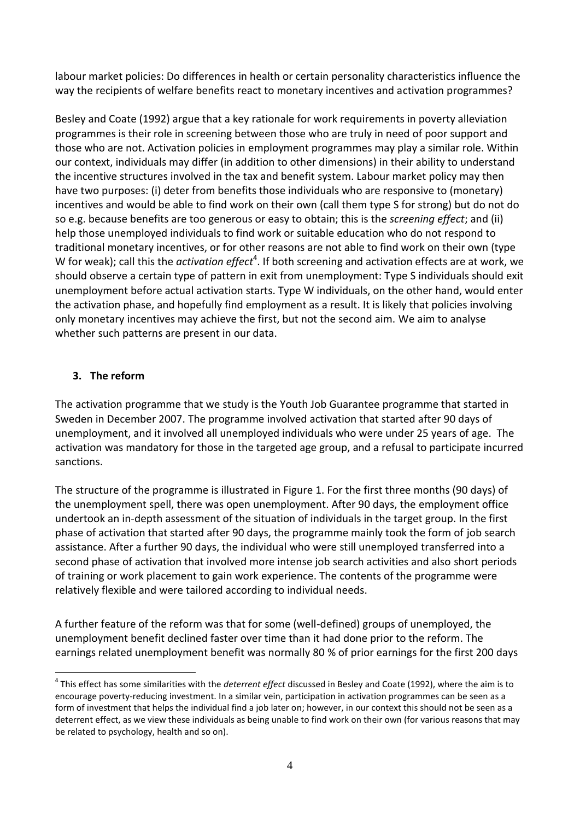labour market policies: Do differences in health or certain personality characteristics influence the way the recipients of welfare benefits react to monetary incentives and activation programmes?

Besley and Coate (1992) argue that a key rationale for work requirements in poverty alleviation programmes is their role in screening between those who are truly in need of poor support and those who are not. Activation policies in employment programmes may play a similar role. Within our context, individuals may differ (in addition to other dimensions) in their ability to understand the incentive structures involved in the tax and benefit system. Labour market policy may then have two purposes: (i) deter from benefits those individuals who are responsive to (monetary) incentives and would be able to find work on their own (call them type S for strong) but do not do so e.g. because benefits are too generous or easy to obtain; this is the *screening effect*; and (ii) help those unemployed individuals to find work or suitable education who do not respond to traditional monetary incentives, or for other reasons are not able to find work on their own (type W for weak); call this the *activation effect*<sup>4</sup>. If both screening and activation effects are at work, we should observe a certain type of pattern in exit from unemployment: Type S individuals should exit unemployment before actual activation starts. Type W individuals, on the other hand, would enter the activation phase, and hopefully find employment as a result. It is likely that policies involving only monetary incentives may achieve the first, but not the second aim. We aim to analyse whether such patterns are present in our data.

## **3. The reform**

1

The activation programme that we study is the Youth Job Guarantee programme that started in Sweden in December 2007. The programme involved activation that started after 90 days of unemployment, and it involved all unemployed individuals who were under 25 years of age. The activation was mandatory for those in the targeted age group, and a refusal to participate incurred sanctions.

The structure of the programme is illustrated in Figure 1. For the first three months (90 days) of the unemployment spell, there was open unemployment. After 90 days, the employment office undertook an in-depth assessment of the situation of individuals in the target group. In the first phase of activation that started after 90 days, the programme mainly took the form of job search assistance. After a further 90 days, the individual who were still unemployed transferred into a second phase of activation that involved more intense job search activities and also short periods of training or work placement to gain work experience. The contents of the programme were relatively flexible and were tailored according to individual needs.

A further feature of the reform was that for some (well-defined) groups of unemployed, the unemployment benefit declined faster over time than it had done prior to the reform. The earnings related unemployment benefit was normally 80 % of prior earnings for the first 200 days

<sup>4</sup> This effect has some similarities with the *deterrent effect* discussed in Besley and Coate (1992), where the aim is to encourage poverty-reducing investment. In a similar vein, participation in activation programmes can be seen as a form of investment that helps the individual find a job later on; however, in our context this should not be seen as a deterrent effect, as we view these individuals as being unable to find work on their own (for various reasons that may be related to psychology, health and so on).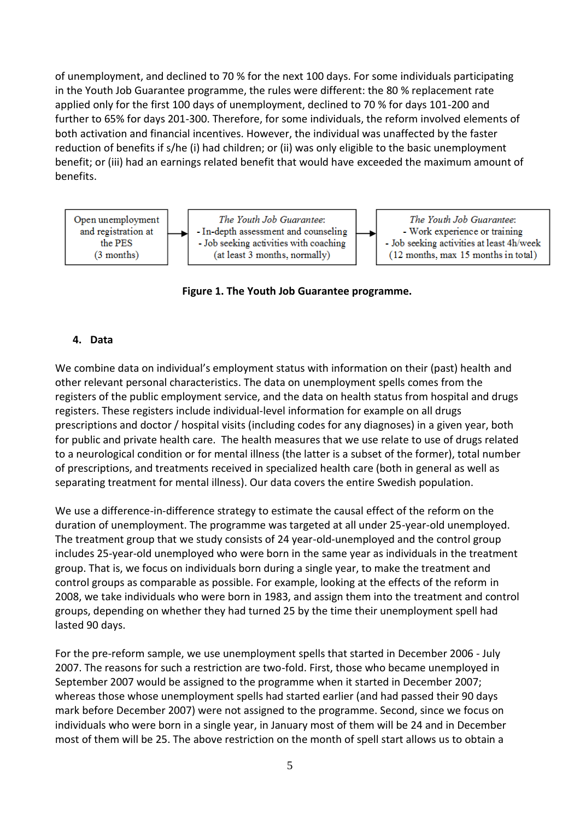of unemployment, and declined to 70 % for the next 100 days. For some individuals participating in the Youth Job Guarantee programme, the rules were different: the 80 % replacement rate applied only for the first 100 days of unemployment, declined to 70 % for days 101-200 and further to 65% for days 201-300. Therefore, for some individuals, the reform involved elements of both activation and financial incentives. However, the individual was unaffected by the faster reduction of benefits if s/he (i) had children; or (ii) was only eligible to the basic unemployment benefit; or (iii) had an earnings related benefit that would have exceeded the maximum amount of benefits.



**Figure 1. The Youth Job Guarantee programme.** 

#### **4. Data**

We combine data on individual's employment status with information on their (past) health and other relevant personal characteristics. The data on unemployment spells comes from the registers of the public employment service, and the data on health status from hospital and drugs registers. These registers include individual-level information for example on all drugs prescriptions and doctor / hospital visits (including codes for any diagnoses) in a given year, both for public and private health care. The health measures that we use relate to use of drugs related to a neurological condition or for mental illness (the latter is a subset of the former), total number of prescriptions, and treatments received in specialized health care (both in general as well as separating treatment for mental illness). Our data covers the entire Swedish population.

We use a difference-in-difference strategy to estimate the causal effect of the reform on the duration of unemployment. The programme was targeted at all under 25-year-old unemployed. The treatment group that we study consists of 24 year-old-unemployed and the control group includes 25-year-old unemployed who were born in the same year as individuals in the treatment group. That is, we focus on individuals born during a single year, to make the treatment and control groups as comparable as possible. For example, looking at the effects of the reform in 2008, we take individuals who were born in 1983, and assign them into the treatment and control groups, depending on whether they had turned 25 by the time their unemployment spell had lasted 90 days.

For the pre-reform sample, we use unemployment spells that started in December 2006 - July 2007. The reasons for such a restriction are two-fold. First, those who became unemployed in September 2007 would be assigned to the programme when it started in December 2007; whereas those whose unemployment spells had started earlier (and had passed their 90 days mark before December 2007) were not assigned to the programme. Second, since we focus on individuals who were born in a single year, in January most of them will be 24 and in December most of them will be 25. The above restriction on the month of spell start allows us to obtain a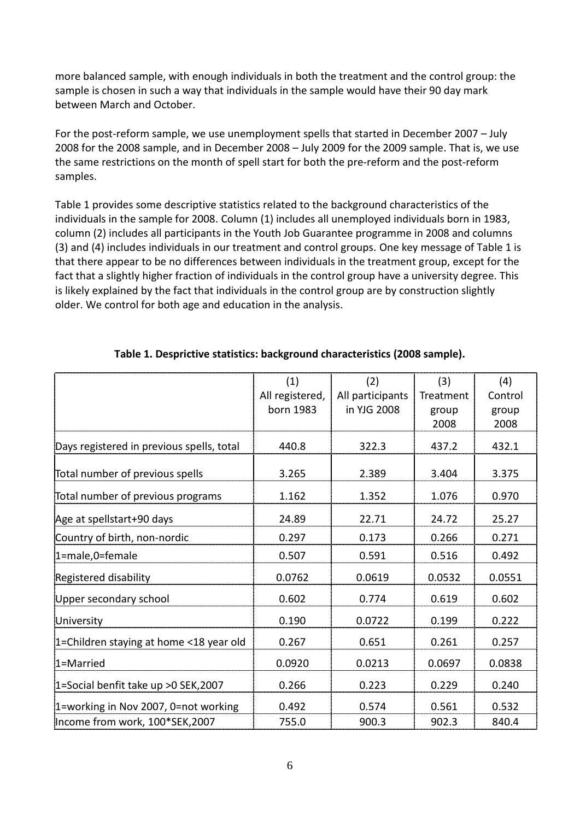more balanced sample, with enough individuals in both the treatment and the control group: the sample is chosen in such a way that individuals in the sample would have their 90 day mark between March and October.

For the post-reform sample, we use unemployment spells that started in December 2007 – July 2008 for the 2008 sample, and in December 2008 – July 2009 for the 2009 sample. That is, we use the same restrictions on the month of spell start for both the pre-reform and the post-reform samples.

Table 1 provides some descriptive statistics related to the background characteristics of the individuals in the sample for 2008. Column (1) includes all unemployed individuals born in 1983, column (2) includes all participants in the Youth Job Guarantee programme in 2008 and columns (3) and (4) includes individuals in our treatment and control groups. One key message of Table 1 is that there appear to be no differences between individuals in the treatment group, except for the fact that a slightly higher fraction of individuals in the control group have a university degree. This is likely explained by the fact that individuals in the control group are by construction slightly older. We control for both age and education in the analysis.

|                                           | (1)             | (2)              | (3)       | (4)     |
|-------------------------------------------|-----------------|------------------|-----------|---------|
|                                           | All registered, | All participants | Treatment | Control |
|                                           | born 1983       | in YJG 2008      | group     | group   |
|                                           |                 |                  | 2008      | 2008    |
| Days registered in previous spells, total | 440.8           | 322.3            | 437.2     | 432.1   |
| Total number of previous spells           | 3.265           | 2.389            | 3.404     | 3.375   |
| Total number of previous programs         | 1.162           | 1.352            | 1.076     | 0.970   |
| Age at spellstart+90 days                 | 24.89           | 22.71            | 24.72     | 25.27   |
| Country of birth, non-nordic              | 0.297           | 0.173            | 0.266     | 0.271   |
| 1=male,0=female                           | 0.507           | 0.591            | 0.516     | 0.492   |
| Registered disability                     | 0.0762          | 0.0619           | 0.0532    | 0.0551  |
| Upper secondary school                    | 0.602           | 0.774            | 0.619     | 0.602   |
| University                                | 0.190           | 0.0722           | 0.199     | 0.222   |
| 1=Children staying at home <18 year old   | 0.267           | 0.651            | 0.261     | 0.257   |
| 1=Married                                 | 0.0920          | 0.0213           | 0.0697    | 0.0838  |
| 1=Social benfit take up > 0 SEK, 2007     | 0.266           | 0.223            | 0.229     | 0.240   |
| 1=working in Nov 2007, 0=not working      | 0.492           | 0.574            | 0.561     | 0.532   |
| Income from work, 100*SEK,2007            | 755.0           | 900.3            | 902.3     | 840.4   |

### **Table 1. Desprictive statistics: background characteristics (2008 sample).**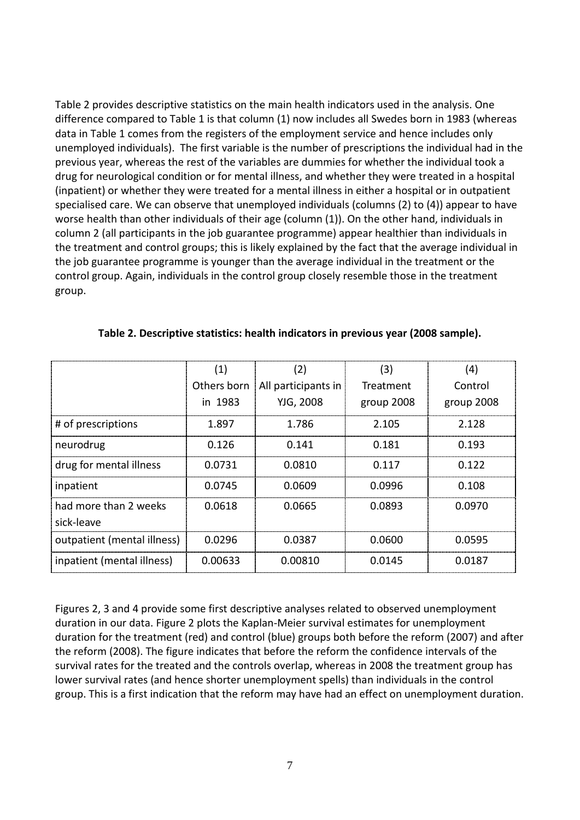Table 2 provides descriptive statistics on the main health indicators used in the analysis. One difference compared to Table 1 is that column (1) now includes all Swedes born in 1983 (whereas data in Table 1 comes from the registers of the employment service and hence includes only unemployed individuals). The first variable is the number of prescriptions the individual had in the previous year, whereas the rest of the variables are dummies for whether the individual took a drug for neurological condition or for mental illness, and whether they were treated in a hospital (inpatient) or whether they were treated for a mental illness in either a hospital or in outpatient specialised care. We can observe that unemployed individuals (columns (2) to (4)) appear to have worse health than other individuals of their age (column (1)). On the other hand, individuals in column 2 (all participants in the job guarantee programme) appear healthier than individuals in the treatment and control groups; this is likely explained by the fact that the average individual in the job guarantee programme is younger than the average individual in the treatment or the control group. Again, individuals in the control group closely resemble those in the treatment group.

|                             | (1)         | (2)                 | (3)        | (4)        |
|-----------------------------|-------------|---------------------|------------|------------|
|                             | Others born | All participants in | Treatment  | Control    |
|                             | in 1983     | YJG, 2008           | group 2008 | group 2008 |
| # of prescriptions          | 1.897       | 1.786               | 2.105      | 2.128      |
| neurodrug                   | 0.126       | 0.141               | 0.181      | 0.193      |
| drug for mental illness     | 0.0731      | 0.0810              | 0.117      | 0.122      |
| inpatient                   | 0.0745      | 0.0609              | 0.0996     | 0.108      |
| had more than 2 weeks       | 0.0618      | 0.0665              | 0.0893     | 0.0970     |
| sick-leave                  |             |                     |            |            |
| outpatient (mental illness) | 0.0296      | 0.0387              | 0.0600     | 0.0595     |
| inpatient (mental illness)  | 0.00633     | 0.00810             | 0.0145     | 0.0187     |

| Table 2. Descriptive statistics: health indicators in previous year (2008 sample). |  |  |
|------------------------------------------------------------------------------------|--|--|
|------------------------------------------------------------------------------------|--|--|

Figures 2, 3 and 4 provide some first descriptive analyses related to observed unemployment duration in our data. Figure 2 plots the Kaplan-Meier survival estimates for unemployment duration for the treatment (red) and control (blue) groups both before the reform (2007) and after the reform (2008). The figure indicates that before the reform the confidence intervals of the survival rates for the treated and the controls overlap, whereas in 2008 the treatment group has lower survival rates (and hence shorter unemployment spells) than individuals in the control group. This is a first indication that the reform may have had an effect on unemployment duration.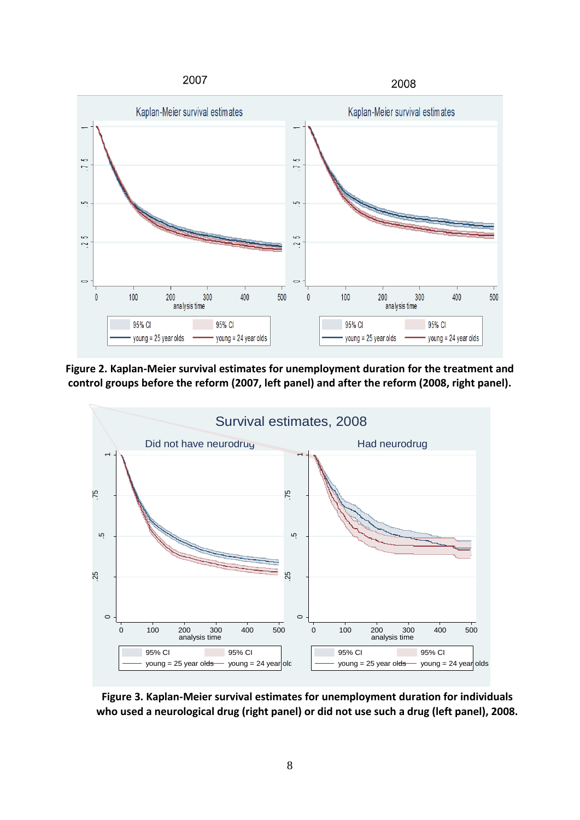

**Figure 2. Kaplan-Meier survival estimates for unemployment duration for the treatment and control groups before the reform (2007, left panel) and after the reform (2008, right panel).**



**Figure 3. Kaplan-Meier survival estimates for unemployment duration for individuals who used a neurological drug (right panel) or did not use such a drug (left panel), 2008.**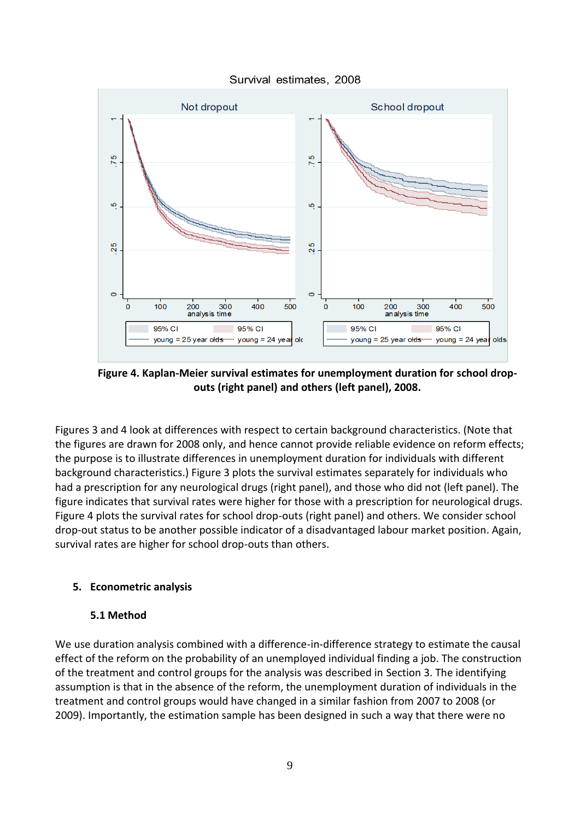



**Figure 4. Kaplan-Meier survival estimates for unemployment duration for school dropouts (right panel) and others (left panel), 2008.**

Figures 3 and 4 look at differences with respect to certain background characteristics. (Note that the figures are drawn for 2008 only, and hence cannot provide reliable evidence on reform effects; the purpose is to illustrate differences in unemployment duration for individuals with different background characteristics.) Figure 3 plots the survival estimates separately for individuals who had a prescription for any neurological drugs (right panel), and those who did not (left panel). The figure indicates that survival rates were higher for those with a prescription for neurological drugs. Figure 4 plots the survival rates for school drop-outs (right panel) and others. We consider school drop-out status to be another possible indicator of a disadvantaged labour market position. Again, survival rates are higher for school drop-outs than others.

# **5. Econometric analysis**

### **5.1 Method**

We use duration analysis combined with a difference-in-difference strategy to estimate the causal effect of the reform on the probability of an unemployed individual finding a job. The construction of the treatment and control groups for the analysis was described in Section 3. The identifying assumption is that in the absence of the reform, the unemployment duration of individuals in the treatment and control groups would have changed in a similar fashion from 2007 to 2008 (or 2009). Importantly, the estimation sample has been designed in such a way that there were no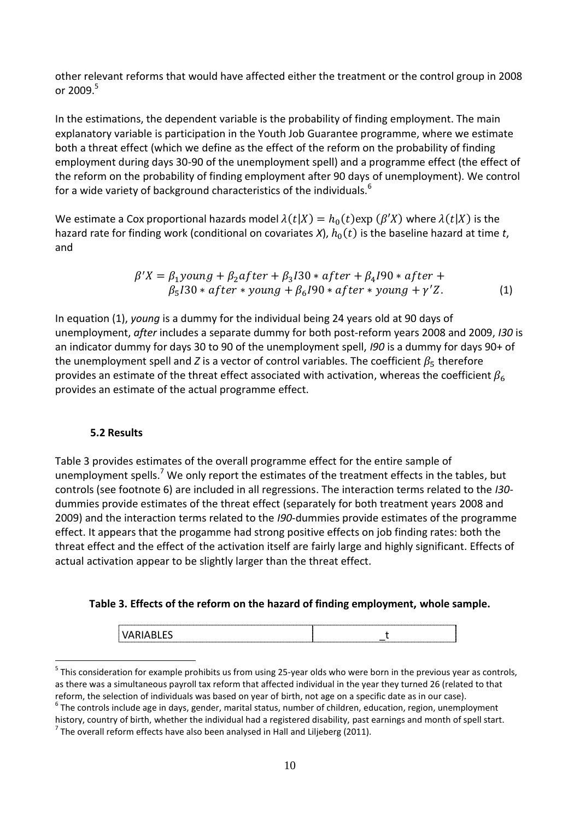other relevant reforms that would have affected either the treatment or the control group in 2008 or  $2009.<sup>5</sup>$ 

In the estimations, the dependent variable is the probability of finding employment. The main explanatory variable is participation in the Youth Job Guarantee programme, where we estimate both a threat effect (which we define as the effect of the reform on the probability of finding employment during days 30-90 of the unemployment spell) and a programme effect (the effect of the reform on the probability of finding employment after 90 days of unemployment). We control for a wide variety of background characteristics of the individuals.<sup>6</sup>

We estimate a Cox proportional hazards model  $\lambda(t|X) = h_0(t) \exp(\beta'X)$  where  $\lambda(t|X)$  is the hazard rate for finding work (conditional on covariates  $X$ ),  $h_0(t)$  is the baseline hazard at time t, and

$$
\beta'X = \beta_1 \text{young} + \beta_2 \text{after} + \beta_3 \text{I30} * \text{after} + \beta_4 \text{I90} * \text{after} + \beta_5 \text{I30} * \text{after} * \text{young} + \beta_6 \text{I90} * \text{after} * \text{young} + \gamma'Z.
$$
\n(1)

In equation (1), *young* is a dummy for the individual being 24 years old at 90 days of unemployment, *after* includes a separate dummy for both post-reform years 2008 and 2009, *I30* is an indicator dummy for days 30 to 90 of the unemployment spell, *I90* is a dummy for days 90+ of the unemployment spell and *Z* is a vector of control variables. The coefficient  $\beta_5$  therefore provides an estimate of the threat effect associated with activation, whereas the coefficient  $\beta_6$ provides an estimate of the actual programme effect.

#### **5.2 Results**

<u>.</u>

Table 3 provides estimates of the overall programme effect for the entire sample of unemployment spells.<sup>7</sup> We only report the estimates of the treatment effects in the tables, but controls (see footnote 6) are included in all regressions. The interaction terms related to the *I30* dummies provide estimates of the threat effect (separately for both treatment years 2008 and 2009) and the interaction terms related to the *I90*-dummies provide estimates of the programme effect. It appears that the progamme had strong positive effects on job finding rates: both the threat effect and the effect of the activation itself are fairly large and highly significant. Effects of actual activation appear to be slightly larger than the threat effect.

**Table 3. Effects of the reform on the hazard of finding employment, whole sample.**

<sup>&</sup>lt;sup>5</sup> This consideration for example prohibits us from using 25-year olds who were born in the previous year as controls, as there was a simultaneous payroll tax reform that affected individual in the year they turned 26 (related to that reform, the selection of individuals was based on year of birth, not age on a specific date as in our case).

 $^6$  The controls include age in days, gender, marital status, number of children, education, region, unemployment history, country of birth, whether the individual had a registered disability, past earnings and month of spell start.

 $^7$  The overall reform effects have also been analysed in Hall and Liljeberg (2011).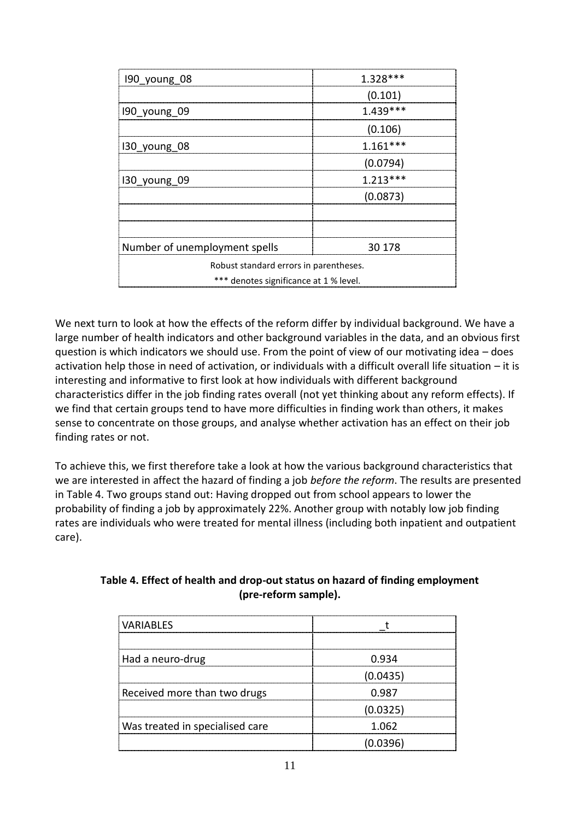| 190 young 08                           | $1.328***$ |  |
|----------------------------------------|------------|--|
|                                        | (0.101)    |  |
| 190 young 09                           | $1.439***$ |  |
|                                        | (0.106)    |  |
| 130 young 08                           | $1.161***$ |  |
|                                        | (0.0794)   |  |
| 130 young 09                           | $1.213***$ |  |
|                                        | (0.0873)   |  |
|                                        |            |  |
|                                        |            |  |
| Number of unemployment spells          | 30 178     |  |
| Robust standard errors in parentheses. |            |  |
| *** denotes significance at 1 % level. |            |  |

We next turn to look at how the effects of the reform differ by individual background. We have a large number of health indicators and other background variables in the data, and an obvious first question is which indicators we should use. From the point of view of our motivating idea – does activation help those in need of activation, or individuals with a difficult overall life situation – it is interesting and informative to first look at how individuals with different background characteristics differ in the job finding rates overall (not yet thinking about any reform effects). If we find that certain groups tend to have more difficulties in finding work than others, it makes sense to concentrate on those groups, and analyse whether activation has an effect on their job finding rates or not.

To achieve this, we first therefore take a look at how the various background characteristics that we are interested in affect the hazard of finding a job *before the reform*. The results are presented in Table 4. Two groups stand out: Having dropped out from school appears to lower the probability of finding a job by approximately 22%. Another group with notably low job finding rates are individuals who were treated for mental illness (including both inpatient and outpatient care).

| <b>VARIABLES</b>                |          |
|---------------------------------|----------|
|                                 |          |
| Had a neuro-drug                | 0.934    |
|                                 | (0.0435) |
| Received more than two drugs    | 0.987    |
|                                 | (0.0325) |
| Was treated in specialised care | 1.062    |
|                                 | (0.0396) |

## **Table 4. Effect of health and drop-out status on hazard of finding employment (pre-reform sample).**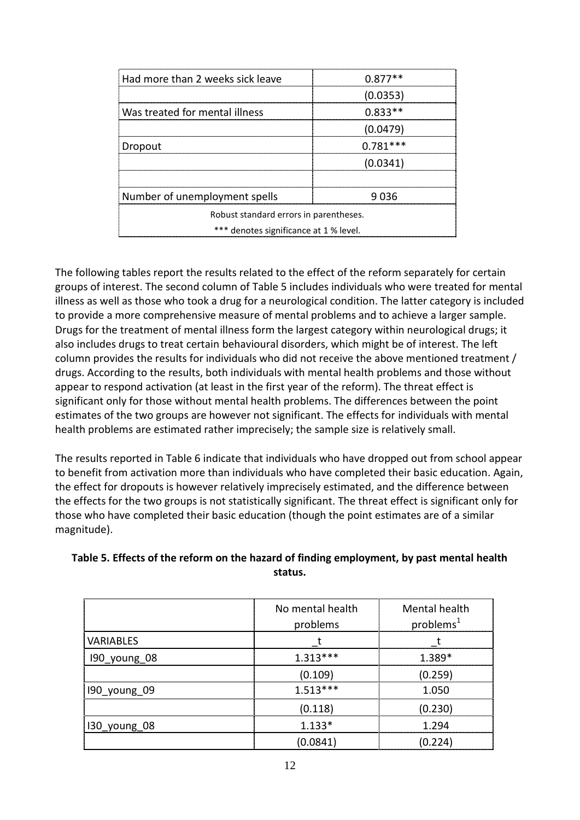| Had more than 2 weeks sick leave       | $0.877**$  |  |
|----------------------------------------|------------|--|
|                                        | (0.0353)   |  |
| Was treated for mental illness         | $0.833**$  |  |
|                                        | (0.0479)   |  |
| Dropout                                | $0.781***$ |  |
|                                        | (0.0341)   |  |
|                                        |            |  |
| Number of unemployment spells          | 9 036      |  |
| Robust standard errors in parentheses. |            |  |
| *** denotes significance at 1 % level. |            |  |

The following tables report the results related to the effect of the reform separately for certain groups of interest. The second column of Table 5 includes individuals who were treated for mental illness as well as those who took a drug for a neurological condition. The latter category is included to provide a more comprehensive measure of mental problems and to achieve a larger sample. Drugs for the treatment of mental illness form the largest category within neurological drugs; it also includes drugs to treat certain behavioural disorders, which might be of interest. The left column provides the results for individuals who did not receive the above mentioned treatment / drugs. According to the results, both individuals with mental health problems and those without appear to respond activation (at least in the first year of the reform). The threat effect is significant only for those without mental health problems. The differences between the point estimates of the two groups are however not significant. The effects for individuals with mental health problems are estimated rather imprecisely; the sample size is relatively small.

The results reported in Table 6 indicate that individuals who have dropped out from school appear to benefit from activation more than individuals who have completed their basic education. Again, the effect for dropouts is however relatively imprecisely estimated, and the difference between the effects for the two groups is not statistically significant. The threat effect is significant only for those who have completed their basic education (though the point estimates are of a similar magnitude).

| which are allowed at the result of the material of mixing employment, by pass memories new |  |
|--------------------------------------------------------------------------------------------|--|
| status.                                                                                    |  |
|                                                                                            |  |
|                                                                                            |  |

**Table 5. Effects of the reform on the hazard of finding employment, by past mental health** 

|                  | No mental health | Mental health         |
|------------------|------------------|-----------------------|
|                  | problems         | problems <sup>1</sup> |
| <b>VARIABLES</b> |                  |                       |
| 190 young 08     | $1.313***$       | $1.389*$              |
|                  | (0.109)          | (0.259)               |
| 190_young_09     | $1.513***$       | 1.050                 |
|                  | (0.118)          | (0.230)               |
| 130 young 08     | $1.133*$         | 1 294                 |
|                  | (0.0841)         |                       |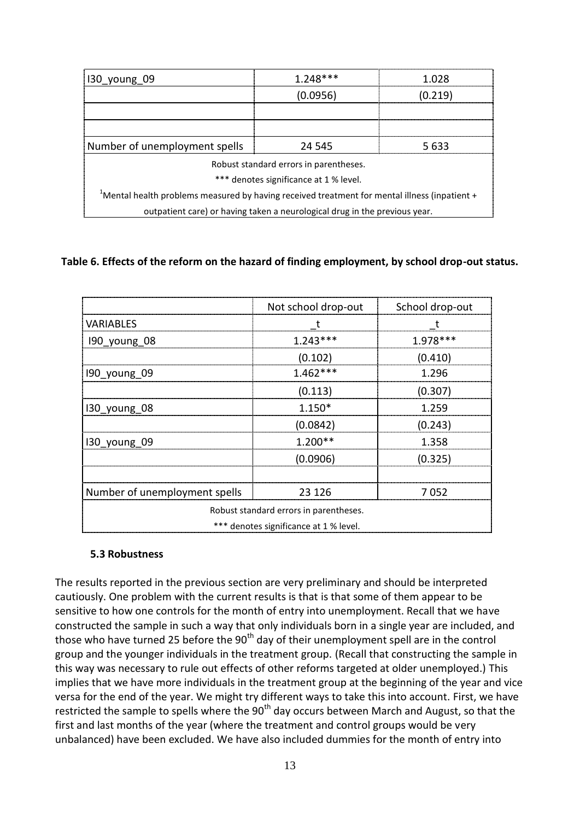| 130 young 09                                                                                     | $1.248***$ | 1 በ2ጸ   |
|--------------------------------------------------------------------------------------------------|------------|---------|
|                                                                                                  | (0.0956)   | (0.219) |
|                                                                                                  |            |         |
|                                                                                                  |            |         |
| Number of unemployment spells                                                                    | 24 545     | 5 633   |
| Robust standard errors in parentheses.                                                           |            |         |
| *** denotes significance at 1 % level.                                                           |            |         |
| $1$ Mental health problems measured by having received treatment for mental illness (inpatient + |            |         |
| outpatient care) or having taken a neurological drug in the previous year.                       |            |         |

#### **Table 6. Effects of the reform on the hazard of finding employment, by school drop-out status.**

|                               | Not school drop-out                    | School drop-out |
|-------------------------------|----------------------------------------|-----------------|
| <b>VARIABLES</b>              |                                        |                 |
| 190_young 08                  | $1.243***$                             | 1.978 ***       |
|                               | (0.102)                                | (0.410)         |
| 190 young 09                  | $1.462***$                             | 1.296           |
|                               | (0.113)                                | (0.307)         |
| 130 young 08                  | $1.150*$                               | 1.259           |
|                               | (0.0842)                               | (0.243)         |
| 130 young 09                  | $1.200**$                              | 1.358           |
|                               | (0.0906)                               | (0.325)         |
|                               |                                        |                 |
| Number of unemployment spells | 23 1 26                                | 7052            |
|                               | Robust standard errors in parentheses. |                 |
|                               | *** denotes significance at 1 % level. |                 |

#### **5.3 Robustness**

The results reported in the previous section are very preliminary and should be interpreted cautiously. One problem with the current results is that is that some of them appear to be sensitive to how one controls for the month of entry into unemployment. Recall that we have constructed the sample in such a way that only individuals born in a single year are included, and those who have turned 25 before the  $90<sup>th</sup>$  day of their unemployment spell are in the control group and the younger individuals in the treatment group. (Recall that constructing the sample in this way was necessary to rule out effects of other reforms targeted at older unemployed.) This implies that we have more individuals in the treatment group at the beginning of the year and vice versa for the end of the year. We might try different ways to take this into account. First, we have restricted the sample to spells where the  $90<sup>th</sup>$  day occurs between March and August, so that the first and last months of the year (where the treatment and control groups would be very unbalanced) have been excluded. We have also included dummies for the month of entry into